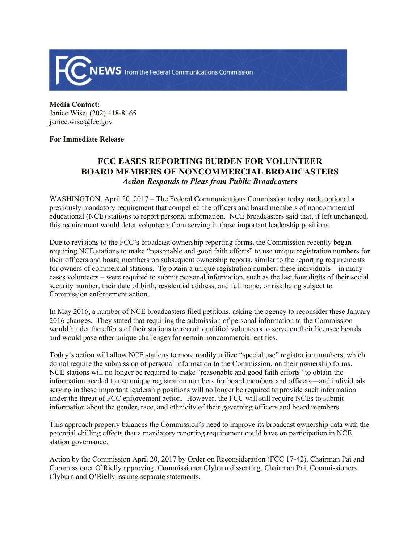

**Media Contact:**  Janice Wise, (202) 418-8165 janice.wise@fcc.gov

## **For Immediate Release**

## **FCC EASES REPORTING BURDEN FOR VOLUNTEER BOARD MEMBERS OF NONCOMMERCIAL BROADCASTERS** *Action Responds to Pleas from Public Broadcasters*

WASHINGTON, April 20, 2017 – The Federal Communications Commission today made optional a previously mandatory requirement that compelled the officers and board members of noncommercial educational (NCE) stations to report personal information. NCE broadcasters said that, if left unchanged, this requirement would deter volunteers from serving in these important leadership positions.

Due to revisions to the FCC's broadcast ownership reporting forms, the Commission recently began requiring NCE stations to make "reasonable and good faith efforts" to use unique registration numbers for their officers and board members on subsequent ownership reports, similar to the reporting requirements for owners of commercial stations. To obtain a unique registration number, these individuals – in many cases volunteers – were required to submit personal information, such as the last four digits of their social security number, their date of birth, residential address, and full name, or risk being subject to Commission enforcement action.

In May 2016, a number of NCE broadcasters filed petitions, asking the agency to reconsider these January 2016 changes. They stated that requiring the submission of personal information to the Commission would hinder the efforts of their stations to recruit qualified volunteers to serve on their licensee boards and would pose other unique challenges for certain noncommercial entities.

Today's action will allow NCE stations to more readily utilize "special use" registration numbers, which do not require the submission of personal information to the Commission, on their ownership forms. NCE stations will no longer be required to make "reasonable and good faith efforts" to obtain the information needed to use unique registration numbers for board members and officers—and individuals serving in these important leadership positions will no longer be required to provide such information under the threat of FCC enforcement action. However, the FCC will still require NCEs to submit information about the gender, race, and ethnicity of their governing officers and board members.

This approach properly balances the Commission's need to improve its broadcast ownership data with the potential chilling effects that a mandatory reporting requirement could have on participation in NCE station governance.

Action by the Commission April 20, 2017 by Order on Reconsideration (FCC 17-42). Chairman Pai and Commissioner O'Rielly approving. Commissioner Clyburn dissenting. Chairman Pai, Commissioners Clyburn and O'Rielly issuing separate statements.